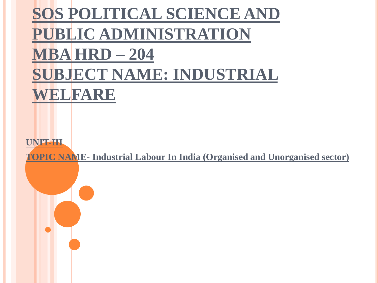# **SOS POLITICAL SCIENCE AND PUBLIC ADMINISTRATION MBA HRD – 204 SUBJECT NAME: INDUSTRIAL WELFARE**

**UNIT-III**

**TOPIC NAME- Industrial Labour In India (Organised and Unorganised sector)**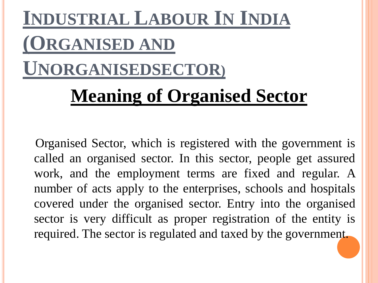# **INDUSTRIAL LABOUR IN INDIA (ORGANISED AND UNORGANISEDSECTOR) Meaning of Organised Sector**

Organised Sector, which is registered with the government is called an organised sector. In this sector, people get assured work, and the employment terms are fixed and regular. A number of acts apply to the enterprises, schools and hospitals covered under the organised sector. Entry into the organised sector is very difficult as proper registration of the entity is required. The sector is regulated and taxed by the government.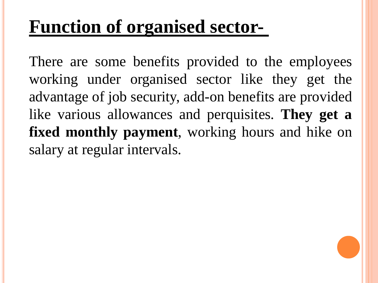# **Function of organised sector-**

There are some benefits provided to the employees working under organised sector like they get the advantage of job security, add-on benefits are provided like various allowances and perquisites. **They get a fixed monthly payment**, working hours and hike on salary at regular intervals.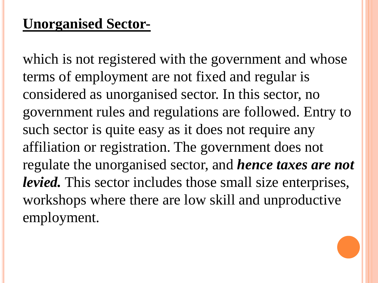#### **Unorganised Sector-**

which is not registered with the government and whose terms of employment are not fixed and regular is considered as unorganised sector. In this sector, no government rules and regulations are followed. Entry to such sector is quite easy as it does not require any affiliation or registration. The government does not regulate the unorganised sector, and *hence taxes are not levied.* This sector includes those small size enterprises, workshops where there are low skill and unproductive employment.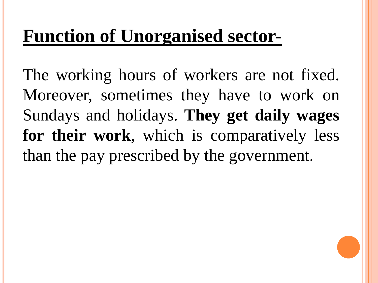# **Function of Unorganised sector-**

The working hours of workers are not fixed. Moreover, sometimes they have to work on Sundays and holidays. **They get daily wages for their work**, which is comparatively less than the pay prescribed by the government.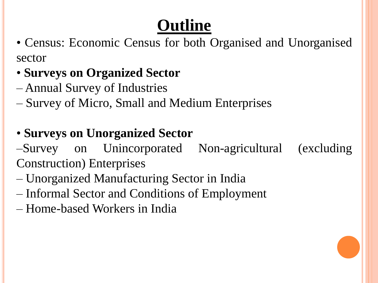# **Outline**

- Census: Economic Census for both Organised and Unorganised sector
- **Surveys on Organized Sector**
- Annual Survey of Industries
- Survey of Micro, Small and Medium Enterprises

#### • **Surveys on Unorganized Sector**

–Survey on Unincorporated Non-agricultural (excluding Construction) Enterprises

- Unorganized Manufacturing Sector in India
- Informal Sector and Conditions of Employment
- Home-based Workers in India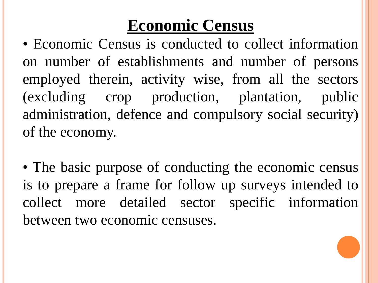## **Economic Census**

• Economic Census is conducted to collect information on number of establishments and number of persons employed therein, activity wise, from all the sectors (excluding crop production, plantation, public administration, defence and compulsory social security) of the economy.

• The basic purpose of conducting the economic census is to prepare a frame for follow up surveys intended to collect more detailed sector specific information between two economic censuses.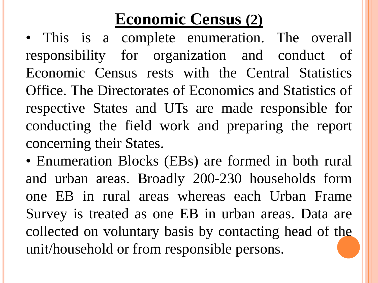### **Economic Census (2)**

• This is a complete enumeration. The overall responsibility for organization and conduct of Economic Census rests with the Central Statistics Office. The Directorates of Economics and Statistics of respective States and UTs are made responsible for conducting the field work and preparing the report concerning their States.

• Enumeration Blocks (EBs) are formed in both rural and urban areas. Broadly 200-230 households form one EB in rural areas whereas each Urban Frame Survey is treated as one EB in urban areas. Data are collected on voluntary basis by contacting head of the unit/household or from responsible persons.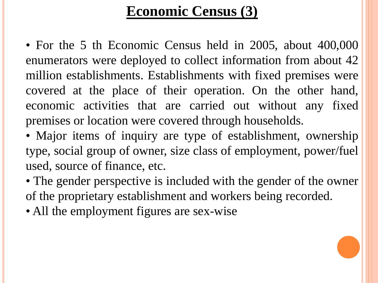#### **Economic Census (3)**

• For the 5 th Economic Census held in 2005, about 400,000 enumerators were deployed to collect information from about 42 million establishments. Establishments with fixed premises were covered at the place of their operation. On the other hand, economic activities that are carried out without any fixed premises or location were covered through households.

• Major items of inquiry are type of establishment, ownership type, social group of owner, size class of employment, power/fuel used, source of finance, etc.

• The gender perspective is included with the gender of the owner of the proprietary establishment and workers being recorded.

• All the employment figures are sex-wise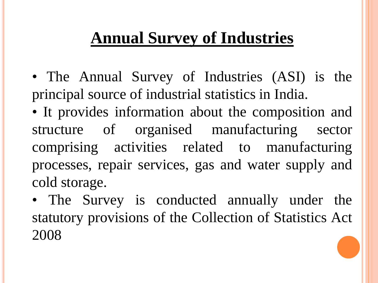## **Annual Survey of Industries**

- The Annual Survey of Industries (ASI) is the principal source of industrial statistics in India.
- It provides information about the composition and structure of organised manufacturing sector comprising activities related to manufacturing processes, repair services, gas and water supply and cold storage.
- The Survey is conducted annually under the statutory provisions of the Collection of Statistics Act 2008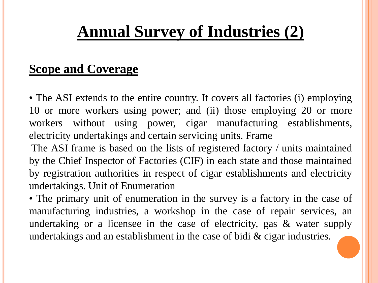## **Annual Survey of Industries (2)**

#### **Scope and Coverage**

• The ASI extends to the entire country. It covers all factories (i) employing 10 or more workers using power; and (ii) those employing 20 or more workers without using power, cigar manufacturing establishments, electricity undertakings and certain servicing units. Frame

The ASI frame is based on the lists of registered factory / units maintained by the Chief Inspector of Factories (CIF) in each state and those maintained by registration authorities in respect of cigar establishments and electricity undertakings. Unit of Enumeration

• The primary unit of enumeration in the survey is a factory in the case of manufacturing industries, a workshop in the case of repair services, an undertaking or a licensee in the case of electricity, gas & water supply undertakings and an establishment in the case of bidi & cigar industries.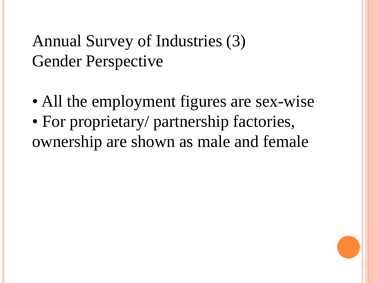## Annual Survey of Industries (3) Gender Perspective

- All the employment figures are sex-wise
- For proprietary/ partnership factories, ownership are shown as male and female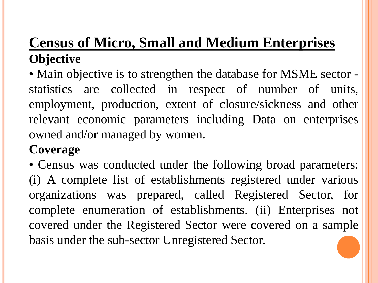#### **Census of Micro, Small and Medium Enterprises Objective**

• Main objective is to strengthen the database for MSME sector statistics are collected in respect of number of units, employment, production, extent of closure/sickness and other relevant economic parameters including Data on enterprises owned and/or managed by women.

#### **Coverage**

• Census was conducted under the following broad parameters: (i) A complete list of establishments registered under various organizations was prepared, called Registered Sector, for complete enumeration of establishments. (ii) Enterprises not covered under the Registered Sector were covered on a sample basis under the sub-sector Unregistered Sector.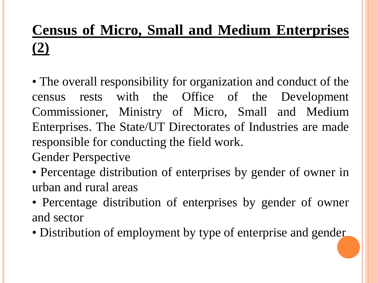### **Census of Micro, Small and Medium Enterprises (2)**

• The overall responsibility for organization and conduct of the census rests with the Office of the Development Commissioner, Ministry of Micro, Small and Medium Enterprises. The State/UT Directorates of Industries are made responsible for conducting the field work.

Gender Perspective

• Percentage distribution of enterprises by gender of owner in urban and rural areas

- Percentage distribution of enterprises by gender of owner and sector
- Distribution of employment by type of enterprise and gender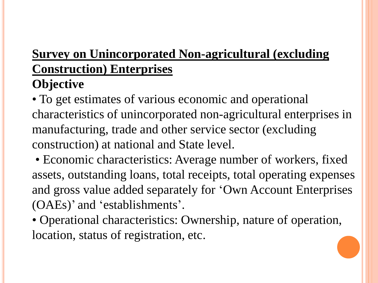#### **Survey on Unincorporated Non-agricultural (excluding Construction) Enterprises Objective**

• To get estimates of various economic and operational characteristics of unincorporated non-agricultural enterprises in manufacturing, trade and other service sector (excluding construction) at national and State level.

• Economic characteristics: Average number of workers, fixed assets, outstanding loans, total receipts, total operating expenses and gross value added separately for 'Own Account Enterprises (OAEs)' and 'establishments'.

• Operational characteristics: Ownership, nature of operation, location, status of registration, etc.